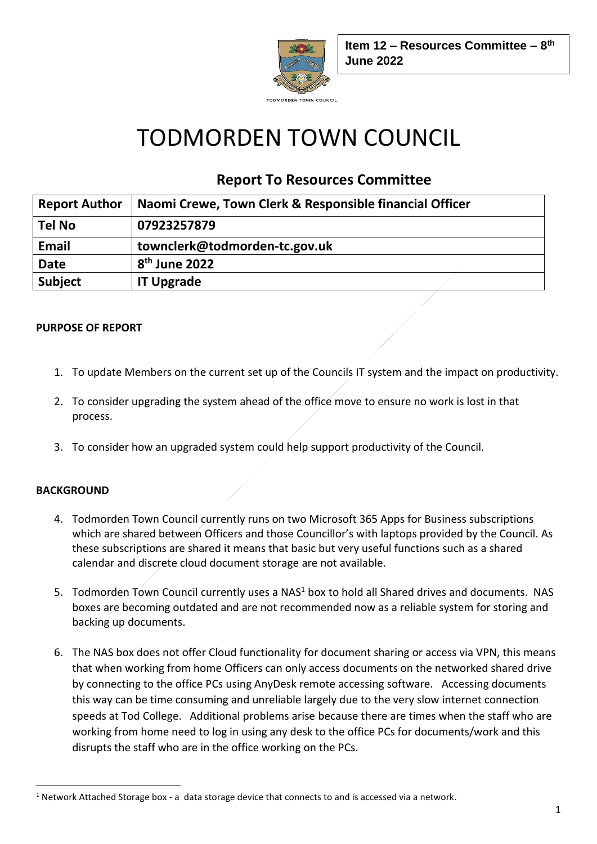

# TODMORDEN TOWN COUNCIL

## **Report To Resources Committee**

| <b>Report Author</b> | Naomi Crewe, Town Clerk & Responsible financial Officer |
|----------------------|---------------------------------------------------------|
| <b>Tel No</b>        | 07923257879                                             |
| <b>Email</b>         | townclerk@todmorden-tc.gov.uk                           |
| <b>Date</b>          | 8 <sup>th</sup> June 2022                               |
| <b>Subject</b>       | <b>IT Upgrade</b>                                       |

#### **PURPOSE OF REPORT**

- 1. To update Members on the current set up of the Councils IT system and the impact on productivity.
- 2. To consider upgrading the system ahead of the office move to ensure no work is lost in that process.
- 3. To consider how an upgraded system could help support productivity of the Council.

#### **BACKGROUND**

- 4. Todmorden Town Council currently runs on two Microsoft 365 Apps for Business subscriptions which are shared between Officers and those Councillor's with laptops provided by the Council. As these subscriptions are shared it means that basic but very useful functions such as a shared calendar and discrete cloud document storage are not available.
- 5. Todmorden Town Council currently uses a NAS<sup>1</sup> box to hold all Shared drives and documents. NAS boxes are becoming outdated and are not recommended now as a reliable system for storing and backing up documents.
- 6. The NAS box does not offer Cloud functionality for document sharing or access via VPN, this means that when working from home Officers can only access documents on the networked shared drive by connecting to the office PCs using AnyDesk remote accessing software. Accessing documents this way can be time consuming and unreliable largely due to the very slow internet connection speeds at Tod College. Additional problems arise because there are times when the staff who are working from home need to log in using any desk to the office PCs for documents/work and this disrupts the staff who are in the office working on the PCs.

<sup>1</sup> Network Attached Storage box - a data storage device that connects to and is accessed via a network.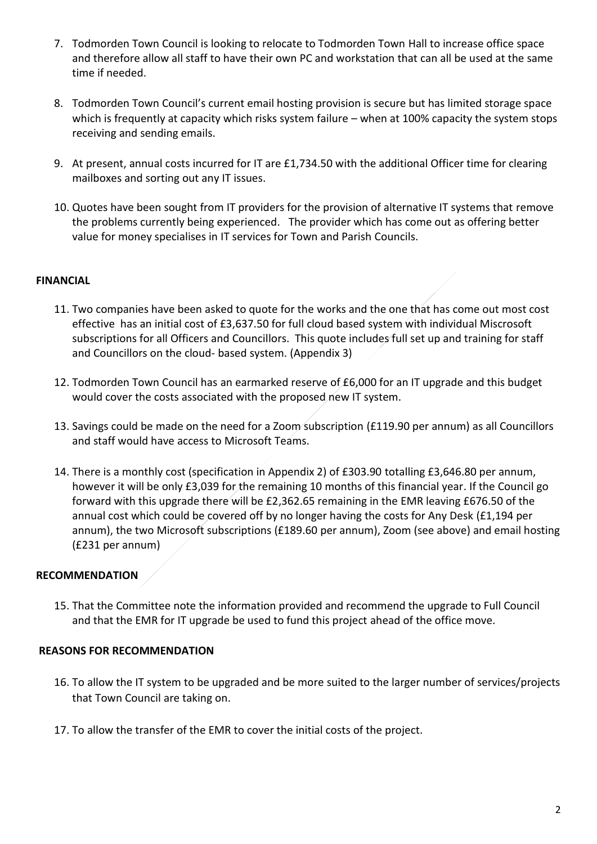- 7. Todmorden Town Council is looking to relocate to Todmorden Town Hall to increase office space and therefore allow all staff to have their own PC and workstation that can all be used at the same time if needed.
- 8. Todmorden Town Council's current email hosting provision is secure but has limited storage space which is frequently at capacity which risks system failure – when at 100% capacity the system stops receiving and sending emails.
- 9. At present, annual costs incurred for IT are £1,734.50 with the additional Officer time for clearing mailboxes and sorting out any IT issues.
- 10. Quotes have been sought from IT providers for the provision of alternative IT systems that remove the problems currently being experienced. The provider which has come out as offering better value for money specialises in IT services for Town and Parish Councils.

#### **FINANCIAL**

- 11. Two companies have been asked to quote for the works and the one that has come out most cost effective has an initial cost of £3,637.50 for full cloud based system with individual Miscrosoft subscriptions for all Officers and Councillors. This quote includes full set up and training for staff and Councillors on the cloud- based system. (Appendix 3)
- 12. Todmorden Town Council has an earmarked reserve of £6,000 for an IT upgrade and this budget would cover the costs associated with the proposed new IT system.
- 13. Savings could be made on the need for a Zoom subscription (£119.90 per annum) as all Councillors and staff would have access to Microsoft Teams.
- 14. There is a monthly cost (specification in Appendix 2) of £303.90 totalling £3,646.80 per annum, however it will be only £3,039 for the remaining 10 months of this financial year. If the Council go forward with this upgrade there will be £2,362.65 remaining in the EMR leaving £676.50 of the annual cost which could be covered off by no longer having the costs for Any Desk (£1,194 per annum), the two Microsoft subscriptions (£189.60 per annum), Zoom (see above) and email hosting (£231 per annum)

#### **RECOMMENDATION**

15. That the Committee note the information provided and recommend the upgrade to Full Council and that the EMR for IT upgrade be used to fund this project ahead of the office move.

#### **REASONS FOR RECOMMENDATION**

- 16. To allow the IT system to be upgraded and be more suited to the larger number of services/projects that Town Council are taking on.
- 17. To allow the transfer of the EMR to cover the initial costs of the project.